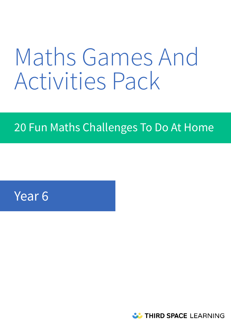# Maths Games And Activities Pack

# 20 Fun Maths Challenges To Do At Home

# Year 6

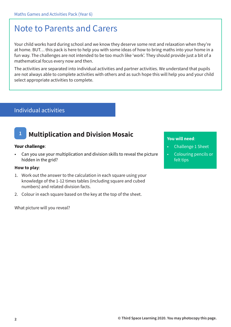### Note to Parents and Carers

Your child works hard during school and we know they deserve some rest and relaxation when they're at home. BUT… this pack is here to help you with some ideas of how to bring maths into your home in a fun way. The challenges are not intended to be too much like 'work'. They should provide just a bit of a mathematical focus every now and then.

The activities are separated into individual activities and partner activities. We understand that pupils are not always able to complete activities with others and as such hope this will help you and your child select appropriate activities to complete.

### Individual activities

### **1 Multiplication and Division Mosaic**

#### **Your challenge**:

• Can you use your multiplication and division skills to reveal the picture hidden in the grid?

#### **How to play**:

- 1. Work out the answer to the calculation in each square using your knowledge of the 1-12 times tables (including square and cubed numbers) and related division facts.
- 2. Colour in each square based on the key at the top of the sheet.

What picture will you reveal?

- Challenge 1 Sheet
- Colouring pencils or felt tips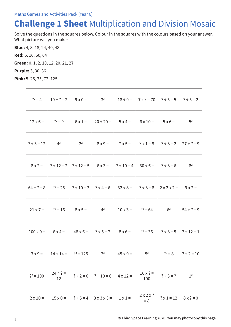### **Challenge 1 Sheet** Multiplication and Division Mosaic

Solve the questions in the squares below. Colour in the squares with the colours based on your answer. What picture will you make?

**Blue:** 4, 8, 18, 24, 40, 48

**Red:** 6, 16, 60, 64

**Green:** 0, 1, 2, 10, 12, 20, 21, 27

**Purple:** 3, 30, 36

**Pink:** 5, 25, 35, 72, 125

| $?^{2} = 4$      | $10 \div ? = 2$     | $9 \times 0 =$  | 3 <sup>3</sup>  | $18 \div 9 =$                | $7 \times ? = 70$      | $? \div 5 = 5$          | $? \div 5 = 2$   |
|------------------|---------------------|-----------------|-----------------|------------------------------|------------------------|-------------------------|------------------|
| $12 \times 6 =$  | $?^{2} = 9$         | $6 \times 1 =$  | $20 \div 20 =$  | $5x4=$                       | $6 \times 10 =$        | $5 \times 6 =$          | 5 <sup>3</sup>   |
| $? \div 3 = 12$  | $4^3$               | 2 <sup>2</sup>  | $8 \times 9 =$  | $7 \times 5 =$               | $? \times 1 = 8$       | $? \div 8 = 2$          | $27 \div ? = 9$  |
| $8 \times 2 =$   | $? \div 12 = 2$     | $? \div 12 = 5$ | $6 \times 3 =$  | $? \div 10 = 4$              | $30 \div 6 =$          | $? ÷ 8 = 6$             | $8^2$            |
| $64 \div ? = 8$  | $?^2 = 25$          | $? \div 10 = 3$ | $? \div 4 = 6$  | $32 \div 8 =$<br>$? ÷ 8 = 8$ |                        | $2 \times 2 \times 2 =$ | $9x2=$           |
| $21 \div 7 =$    | $?^{2} = 16$        | $8 \times 5 =$  | 4 <sup>2</sup>  | $10 \times 3 =$              | $?^{3} = 64$           | 6 <sup>2</sup>          | $54 \div ? = 9$  |
| $100 \times 0 =$ | $6x4=$              | $48 \div 6 =$   | $? \div 5 = 7$  | $8 \times 6 =$               | $?^2 = 36$             | $? ÷ 8 = 5$             | $? \div 12 = 1$  |
| $3x9=$           | $14 \div 14 =$      | $?^{3} = 125$   | $2^3$           | $45 \div 9 =$                | 5 <sup>2</sup>         | $?^{3} = 8$             | $? \div 2 = 10$  |
| $?^{2} = 100$    | $24 \div ? =$<br>12 | $? \div 2 = 6$  | $? \div 10 = 6$ | $4 \times 12 =$              | $10 \times ? =$<br>100 | $? \div 3 = 7$          | 1 <sup>2</sup>   |
| $2 \times 10 =$  | $15 \times 0 =$     | $? \div 5 = 4$  | $3x3x3 =$       | $1 \times 1 =$               | 2x2x?<br>$= 8$         | $? \times 1 = 12$       | $8 \times ? = 0$ |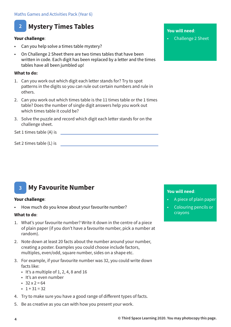### **2 Mystery Times Tables**

#### **Your challenge**:

- Can you help solve a times table mystery?
- On Challenge 2 Sheet there are two times tables that have been written in code. Each digit has been replaced by a letter and the times tables have all been jumbled up!

#### **What to do:**

- 1. Can you work out which digit each letter stands for? Try to spot patterns in the digits so you can rule out certain numbers and rule in others.
- 2. Can you work out which times table is the 11 times table or the 1 times table? Does the number of single digit answers help you work out which times table it could be?
- 3. Solve the puzzle and record which digit each letter stands for on the challenge sheet.

Set 1 times table (A) is

Set 2 times table (L) is

### **3 My Favourite Number**

#### **Your challenge**:

How much do you know about your favourite number?

#### **What to do**:

- 1. What's your favourite number? Write it down in the centre of a piece of plain paper (if you don't have a favourite number, pick a number at random).
- 2. Note down at least 20 facts about the number around your number, creating a poster. Examples you could choose include factors, multiples, even/odd, square number, sides on a shape etc.
- 3. For example, if your favourite number was 32, you could write down facts like:
	- $\cdot$  It's a multiple of 1, 2, 4, 8 and 16
	- It's an even number
	- $32 \times 2 = 64$
	- $\cdot$  1 + 31 = 32
- 4. Try to make sure you have a good range of different types of facts.
- 5. Be as creative as you can with how you present your work.

#### **You will need**:

• Challenge 2 Sheet

- A piece of plain paper
- Colouring pencils or crayons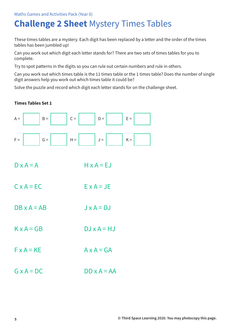# **Challenge 2 Sheet** Mystery Times Tables

These times tables are a mystery. Each digit has been replaced by a letter and the order of the times tables has been jumbled up!

Can you work out which digit each letter stands for? There are two sets of times tables for you to complete.

Try to spot patterns in the digits so you can rule out certain numbers and rule in others.

Can you work out which times table is the 11 times table or the 1 times table? Does the number of single digit answers help you work out which times table it could be?

Solve the puzzle and record which digit each letter stands for on the challenge sheet.

#### **Times Tables Set 1**



- $D \times A = A$  H  $\times A = EJ$
- $C \times A = FC$   $F \times A = JF$
- $DR \times A = AB$   $J \times A = D$
- $K \times A = G B$  DJ  $x A = HJ$
- $F \times A = KF$   $A \times A = GA$
- $G \times A = D C$   $DD \times A = AA$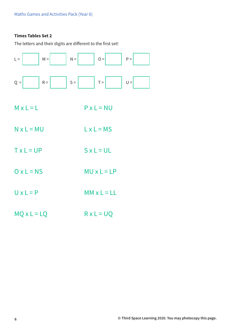#### **Times Tables Set 2**

The letters and their digits are different to the first set!

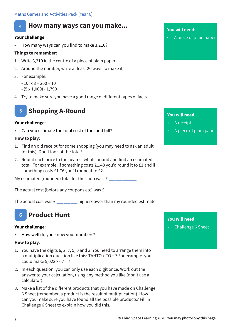### **4 How many ways can you make...**

#### **Your challenge**:

• How many ways can you find to make 3,210?

#### **Things to remember**:

- 1. Write 3,210 in the centre of a piece of plain paper.
- 2. Around the number, write at least 20 ways to make it.
- 3. For example:
	- $10^3 \times 3 + 200 + 10$
	- $\cdot$  (5 x 1,000) 1,790
- 4. Try to make sure you have a good range of different types of facts.



#### **Your challenge**:

• Can you estimate the total cost of the food bill?

#### **How to play**:

- 1. Find an old receipt for some shopping (you may need to ask an adult for this). Don't look at the total!
- 2. Round each price to the nearest whole pound and find an estimated total. For example, if something costs £1.48 you'd round it to £1 and if something costs £1.76 you'd round it to £2.

My estimated (rounded) total for the shop was  $f_{\text{max}}$ 

The actual cost (before any coupons etc) was £

The actual cost was  $E_{\text{max}}$  higher/lower than my rounded estimate.

### **6 Product Hunt**

#### **Your challenge**:

• How well do you know your numbers?

#### **How to play**:

- 1. You have the digits 6, 2, 7, 5, 0 and 3. You need to arrange them into a multiplication question like this: ThHTO x TO = ? For example, you could make  $5.023 \times 67 = ?$
- 2. In each question, you can only use each digit once. Work out the answer to your calculation, using any method you like (don't use a calculator).
- 3. Make a list of the different products that you have made on Challenge 6 Sheet (remember, a product is the result of multiplication). How can you make sure you have found all the possible products? Fill in Challenge 6 Sheet to explain how you did this.

#### **You will need**:

• A piece of plain paper

#### **You will need**:

- A receipt
- A piece of plain paper

#### **You will need**:

• Challenge 6 Sheet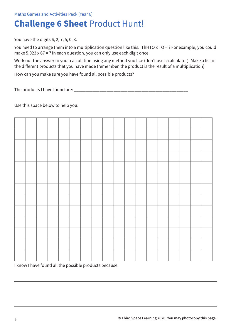# **Challenge 6 Sheet** Product Hunt!

You have the digits 6, 2, 7, 5, 0, 3.

You need to arrange them into a multiplication question like this: ThHTO x TO = ? For example, you could make  $5,023 \times 67 = ?$  In each question, you can only use each digit once.

Work out the answer to your calculation using any method you like (don't use a calculator). Make a list of the different products that you have made (remember, the product is the result of a multiplication).

How can you make sure you have found all possible products?

The products I have found are: \_\_\_\_\_\_\_\_

Use this space below to help you.



I know I have found all the possible products because: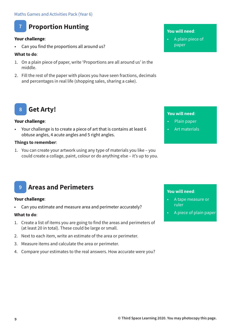

#### **Your challenge**:

• Can you find the proportions all around us?

#### **What to do**:

- 1. On a plain piece of paper, write 'Proportions are all around us' in the middle.
- 2. Fill the rest of the paper with places you have seen fractions, decimals and percentages in real life (shopping sales, sharing a cake).

#### **You will need**:

• A plain piece of paper

#### **Get Arty! 8**

#### **Your challenge**:

• Your challenge is to create a piece of art that is contains at least 6 obtuse angles, 4 acute angles and 5 right angles.

#### **Things to remember**:

1. You can create your artwork using any type of materials you like – you could create a collage, paint, colour or do anything else – it's up to you.

#### **You will need**:

- Plain paper
- Art materials

### **9 Areas and Perimeters**

#### **Your challenge**:

• Can you estimate and measure area and perimeter accurately?

#### **What to do**:

- 1. Create a list of items you are going to find the areas and perimeters of (at least 20 in total). These could be large or small.
- 2. Next to each item, write an estimate of the area or perimeter.
- 3. Measure items and calculate the area or perimeter.
- 4. Compare your estimates to the real answers. How accurate were you?

- A tape measure or ruler
- A piece of plain paper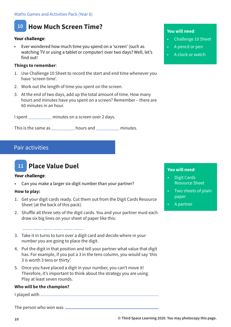

#### **Your challenge**:

• Ever wondered how much time you spend on a 'screen' (such as watching TV or using a tablet or computer) over two days? Well, let's find out!

#### **Things to remember**:

- 1. Use Challenge 10 Sheet to record the start and end time whenever you have 'screen time'.
- 2. Work out the length of time you spent on the screen.
- 3. At the end of two days, add up the total amount of time. How many hours and minutes have you spent on a screen? Remember – there are 60 minutes in an hour.

I spent minutes on a screen over 2 days.

This is the same as \_\_\_\_\_\_\_\_\_\_ hours and \_\_\_\_\_\_\_\_\_\_ minutes.

#### Pair activities



#### **Your challenge**:

• Can you make a larger six-digit number than your partner?

#### **How to play:**

- 1. Get your digit cards ready. Cut them out from the Digit Cards Resource Sheet (at the back of this pack).
- 2. Shuffle all three sets of the digit cards. You and your partner must each draw six big lines on your sheet of paper like this:

### \_\_\_\_ \_\_\_\_ \_\_\_\_ \_\_\_\_ \_\_\_\_ \_\_\_\_

- 3. Take it in turns to turn over a digit card and decide where in your number you are going to place the digit.
- 4. Put the digit in that position and tell your partner what value that digit has. For example, if you put a 3 in the tens column, you would say 'this 3 is worth 3 tens or thirty'.
- 5. Once you have placed a digit in your number, you can't move it! Therefore, it's important to think about the strategy you are using. Play at least seven rounds.

#### **Who will be the champion?**

I played with

The person who won was

#### **You will need**:

- Challenge 10 Sheet
- A pencil or pen
- A clock or watch

- Digit Cards Resource Sheet
- Two sheets of plain paper
- A partner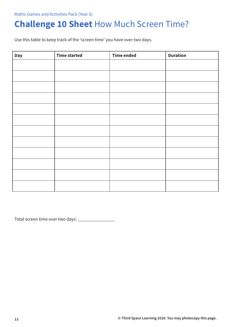# **Challenge 10 Sheet** How Much Screen Time?

Use this table to keep track of the 'screen time' you have over two days.

| <b>Day</b> | <b>Time started</b> | <b>Time ended</b> | <b>Duration</b> |
|------------|---------------------|-------------------|-----------------|
|            |                     |                   |                 |
|            |                     |                   |                 |
|            |                     |                   |                 |
|            |                     |                   |                 |
|            |                     |                   |                 |
|            |                     |                   |                 |
|            |                     |                   |                 |
|            |                     |                   |                 |
|            |                     |                   |                 |
|            |                     |                   |                 |
|            |                     |                   |                 |
|            |                     |                   |                 |

Total screen time over two days: \_\_\_\_\_\_\_\_\_\_\_\_\_\_\_\_\_\_\_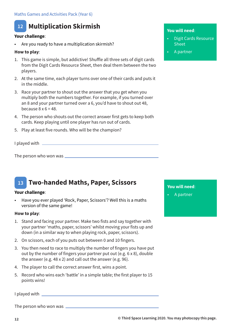#### **Multiplication Skirmish 12**

#### **Your challenge**:

• Are you ready to have a multiplication skirmish?

#### **How to play**:

- 1. This game is simple, but addictive! Shuffle all three sets of digit cards from the Digit Cards Resource Sheet, then deal them between the two players.
- 2. At the same time, each player turns over one of their cards and puts it in the middle.
- 3. Race your partner to shout out the answer that you get when you multiply both the numbers together. For example, if you turned over an 8 and your partner turned over a 6, you'd have to shout out 48, because  $8 \times 6 = 48$ .
- 4. The person who shouts out the correct answer first gets to keep both cards. Keep playing until one player has run out of cards.
- 5. Play at least five rounds. Who will be the champion?

I played with  $\overline{\phantom{a}}$ 

The person who won was

#### **Two-handed Maths, Paper, Scissors 13**

#### **Your challenge**:

• Have you ever played 'Rock, Paper, Scissors'? Well this is a maths version of the same game!

#### **How to play**:

- 1. Stand and facing your partner. Make two fists and say together with your partner 'maths, paper, scissors' whilst moving your fists up and down (in a similar way to when playing rock, paper, scissors).
- 2. On scissors, each of you puts out between 0 and 10 fingers.
- 3. You then need to race to multiply the number of fingers you have put out by the number of fingers your partner put out (e.g. 6 x 8), double the answer (e.g. 48 x 2) and call out the answer (e.g. 96).
- 4. The player to call the correct answer first, wins a point.
- 5. Record who wins each 'battle' in a simple table; the first player to 15 points wins!

I played with

The person who won was

#### **You will need**:

- Digit Cards Resource Sheet
- A partner

**You will need**:

• A partner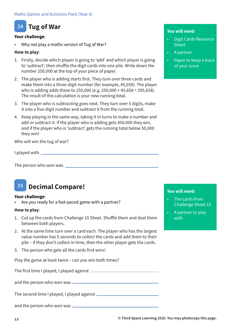#### **Tug of War 14**

#### **Your challenge**:

• Why not play a maths version of Tug of War?

#### **How to play**:

- 1. Firstly, decide which player is going to 'add' and which player is going to 'subtract', then shuffle the digit cards into one pile. Write down the number 250,000 at the top of your piece of paper.
- 2. The player who is adding starts first. They turn over three cards and make them into a three-digit number (for example, 45,658). The player who is adding adds these to 250,000 (e.g. 250,000 + 45,658 = 295,658). The result of this calculation is your new running total.
- 3. The player who is subtracting goes next. They turn over 5 digits, make it into a five-digit number and subtract it from the running total.
- 4. Keep playing in the same way, taking it in turns to make a number and add or subtract it. If the player who is adding gets 450,000 they win, and if the player who is 'subtract' gets the running total below 50,000 they win!

Who will win the tug of war?

I played with

The person who won was

### **15 Decimal Compare!**

#### **Your challenge**:

Are you ready for a fast-paced game with a partner?

#### **How to play**:

- 1. Cut up the cards from Challenge 15 Sheet. Shuffle them and deal them between both players.
- 2. At the same time turn over a card each. The player who has the largest value number has 5 seconds to collect the cards and add them to their pile – if they don't collect in time, then the other player gets the cards.
- 3. The person who gets all the cards first wins!

Play the game at least twice – can you win both times?

The first time I played, I played against

and the person who won was

The second time I played, I played against

and the person who won was

#### **You will need**:

- Digit Cards Resource Sheet
- A partner
- Paper to keep a track of your score

- The cards from Challenge Sheet 15
- A partner to play with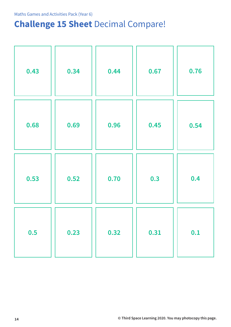# **Challenge 15 Sheet** Decimal Compare!

| 0.43 | 0.34 | 0.44 | 0.67 | 0.76 |
|------|------|------|------|------|
| 0.68 | 0.69 | 0.96 | 0.45 | 0.54 |
| 0.53 | 0.52 | 0.70 | 0.3  | 0.4  |
| 0.5  | 0.23 | 0.32 | 0.31 | 0.1  |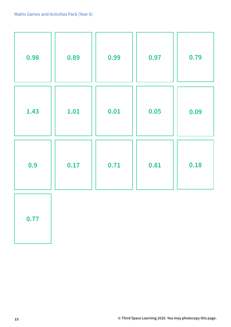| 0.98 | 0.89 | 0.99 | 0.97 | 0.79 |
|------|------|------|------|------|
| 1.43 | 1.01 | 0.01 | 0.05 | 0.09 |
| 0.9  | 0.17 | 0.71 | 0.81 | 0.18 |
| 0.77 |      |      |      |      |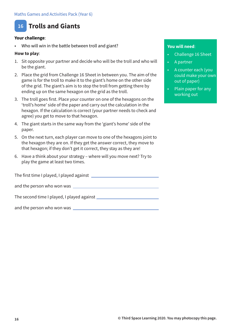

#### **Your challenge**:

Who will win in the battle between troll and giant?

#### **How to play**:

- 1. Sit opposite your partner and decide who will be the troll and who will be the giant.
- 2. Place the grid from Challenge 16 Sheet in between you. The aim of the game is for the troll to make it to the giant's home on the other side of the grid. The giant's aim is to stop the troll from getting there by ending up on the same hexagon on the grid as the troll.
- 3. The troll goes first. Place your counter on one of the hexagons on the 'troll's home' side of the paper and carry out the calculation in the hexagon. If the calculation is correct (your partner needs to check and agree) you get to move to that hexagon.
- 4. The giant starts in the same way from the 'giant's home' side of the paper.
- 5. On the next turn, each player can move to one of the hexagons joint to the hexagon they are on. If they get the answer correct, they move to that hexagon; if they don't get it correct, they stay as they are!
- 6. Have a think about your strategy where will you move next? Try to play the game at least two times.

The first time I played, I played against and the person who won was

The second time I played, I played against

and the person who won was \_\_\_\_\_\_\_\_\_\_\_

- Challenge 16 Sheet
- A partner
- A counter each (you could make your own out of paper)
- Plain paper for any working out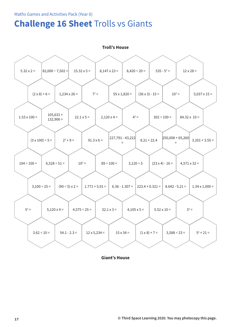### **Challenge 16 Sheet** Trolls vs Giants



**Giant's House**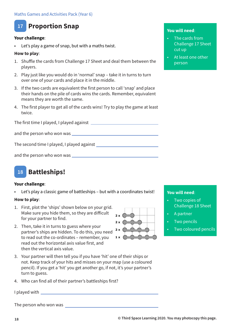### **17 Proportion Snap**

#### **Your challenge**:

Let's play a game of snap, but with a maths twist.

#### **How to play**:

- 1. Shuffle the cards from Challenge 17 Sheet and deal them between the players.
- 2. Play just like you would do in 'normal' snap take it in turns to turn over one of your cards and place it in the middle.
- 3. If the two cards are equivalent the first person to call 'snap' and place their hands on the pile of cards wins the cards. Remember, equivalent means they are worth the same.
- 4. The first player to get all of the cards wins! Try to play the game at least twice.

The first time I played, I played against

and the person who won was

The second time I played, I played against

and the person who won was



#### **Your challenge**:

Let's play a classic game of battleships – but with a coordinates twist!

#### **How to play**:

- 1. First, plot the 'ships' shown below on your grid. Make sure you hide them, so they are difficult for your partner to find.
- 2. Then, take it in turns to guess where your partner's ships are hidden. To do this, you need to read out the co-ordinates – remember, you read out the horizontal axis value first, and then the vertical axis value.
- 3. Your partner will then tell you if you have 'hit' one of their ships or not. Keep track of your hits and misses on your map (use a coloured pencil). If you get a 'hit' you get another go, if not, it's your partner's turn to guess.
- 4. Who can find all of their partner's battleships first?

I played with

The person who won was

# $2x$  $2 \times 6$  $1 x$

#### **You will need**:

- The cards from Challenge 17 Sheet cut up
- At least one other person

•

- Two copies of Challenge 18 Sheet
- A partner
- **Two pencils**
- Two coloured pencils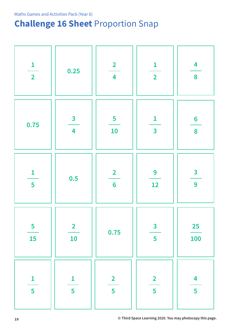# **Challenge 16 Sheet** Proportion Snap

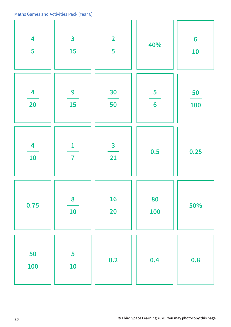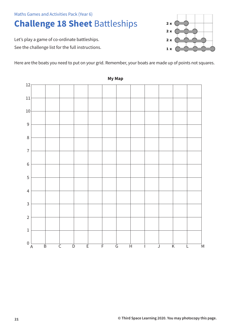# **Challenge 18 Sheet** Battleships

Let's play a game of co-ordinate battleships. See the challenge list for the full instructions.

Here are the boats you need to put on your grid. Remember, your boats are made up of points not squares.



**My Map**

 $2x$ 

 $2x$ 

 $2x$ 

 $1 x$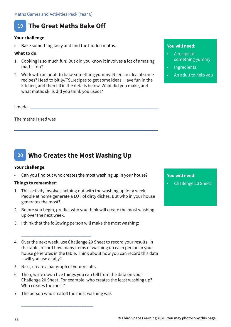

#### **Your challenge**:

Bake something tasty and find the hidden maths.

#### **What to do**:

- 1. Cooking is so much fun! But did you know it involves a lot of amazing maths too?
- 2. Work with an adult to bake something yummy. Need an idea of some recipes? Head to bit.ly/TSLrecipes to get some ideas. Have fun in the kitchen, and then fill in the details below. What did you make, and what maths skills did you think you used!?

I made

The maths I used was

### **20 Who Creates the Most Washing Up**

#### **Your challenge**:

• Can you find out who creates the most washing up in your house?

#### **Things to remember**:

- 1. This activity involves helping out with the washing up for a week. People at home generate a LOT of dirty dishes. But who in your house generates the most?
- 2. Before you begin, predict who you think will create the most washing up over the next week.
- 3. I think that the following person will make the most washing:

4. Over the next week, use Challenge 20 Sheet to record your results. In the table, record how many items of washing up each person in your house generates in the table. Think about how you can record this data – will you use a tally?

5. Next, create a bar graph of your results.

\_\_\_\_\_\_\_\_\_\_\_\_\_\_\_\_\_\_\_\_\_\_\_\_\_\_\_\_\_\_

- 6. Then, write down five things you can tell from the data on your Challenge 20 Sheet. For example, who creates the least washing up? Who creates the most?
- 7. The person who created the most washing was

\_\_\_\_\_\_\_\_\_\_\_\_\_\_\_\_\_\_\_\_\_\_\_\_\_\_\_\_\_\_\_

#### **You will need**:

- A recipe for something yummy
- **Ingredients**
- An adult to help you

#### **You will need**:

• Challenge 20 Sheet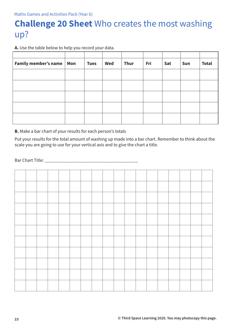# **Challenge 20 Sheet** Who creates the most washing up?

**A.** Use the table below to help you record your data.

| Family member's name   Mon | <b>Tues</b> | Wed | Thur | Fri | Sat | Sun | <b>Total</b> |
|----------------------------|-------------|-----|------|-----|-----|-----|--------------|
|                            |             |     |      |     |     |     |              |
|                            |             |     |      |     |     |     |              |
|                            |             |     |      |     |     |     |              |
|                            |             |     |      |     |     |     |              |
|                            |             |     |      |     |     |     |              |

**B.** Make a bar chart of your results for each person's totals

Put your results for the total amount of washing up made into a bar chart. Remember to think about the scale you are going to use for your vertical axis and to give the chart a title.

Bar Chart Title: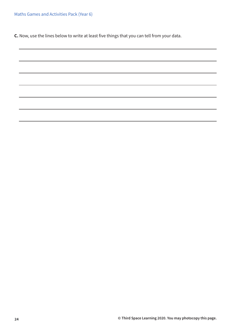**C.** Now, use the lines below to write at least five things that you can tell from your data.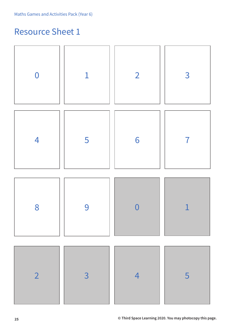# Resource Sheet 1